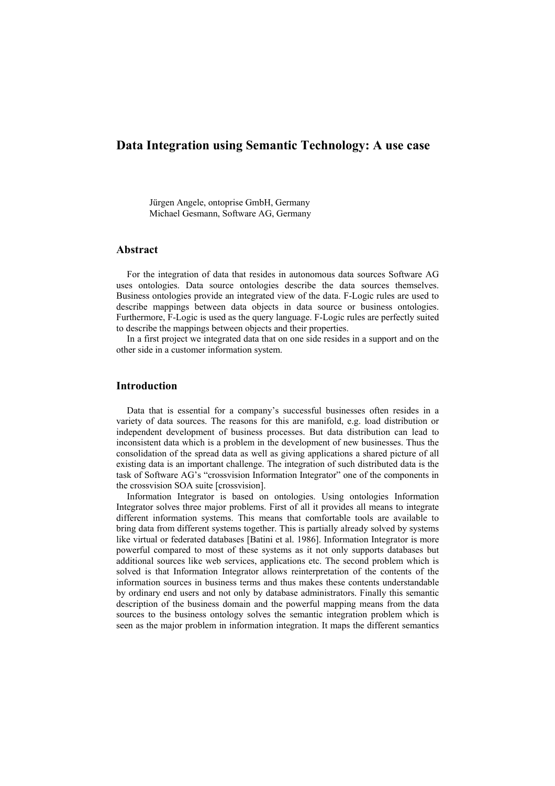# **Data Integration using Semantic Technology: A use case**

Jürgen Angele, ontoprise GmbH, Germany Michael Gesmann, Software AG, Germany

# **Abstract**

For the integration of data that resides in autonomous data sources Software AG uses ontologies. Data source ontologies describe the data sources themselves. Business ontologies provide an integrated view of the data. F-Logic rules are used to describe mappings between data objects in data source or business ontologies. Furthermore, F-Logic is used as the query language. F-Logic rules are perfectly suited to describe the mappings between objects and their properties.

In a first project we integrated data that on one side resides in a support and on the other side in a customer information system.

### **Introduction**

Data that is essential for a company's successful businesses often resides in a variety of data sources. The reasons for this are manifold, e.g. load distribution or independent development of business processes. But data distribution can lead to inconsistent data which is a problem in the development of new businesses. Thus the consolidation of the spread data as well as giving applications a shared picture of all existing data is an important challenge. The integration of such distributed data is the task of Software AG's "crossvision Information Integrator" one of the components in the crossvision SOA suite [crossvision].

Information Integrator is based on ontologies. Using ontologies Information Integrator solves three major problems. First of all it provides all means to integrate different information systems. This means that comfortable tools are available to bring data from different systems together. This is partially already solved by systems like virtual or federated databases [Batini et al. 1986]. Information Integrator is more powerful compared to most of these systems as it not only supports databases but additional sources like web services, applications etc. The second problem which is solved is that Information Integrator allows reinterpretation of the contents of the information sources in business terms and thus makes these contents understandable by ordinary end users and not only by database administrators. Finally this semantic description of the business domain and the powerful mapping means from the data sources to the business ontology solves the semantic integration problem which is seen as the major problem in information integration. It maps the different semantics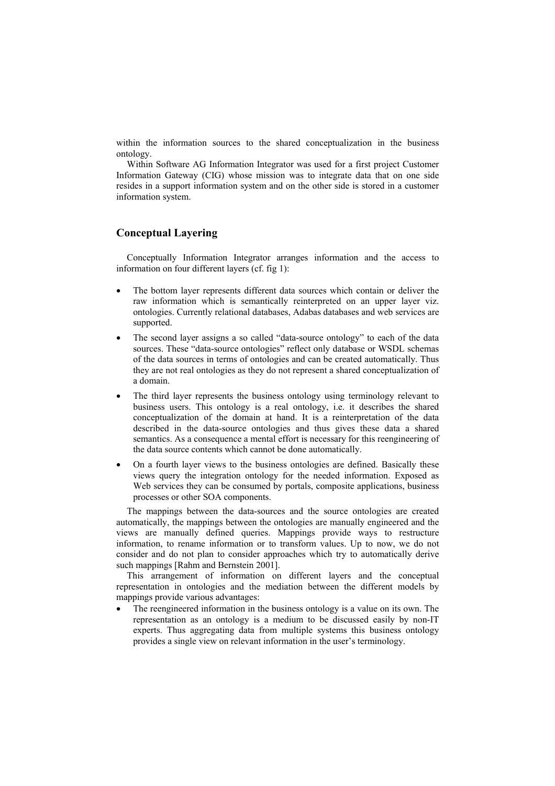within the information sources to the shared conceptualization in the business ontology.

Within Software AG Information Integrator was used for a first project Customer Information Gateway (CIG) whose mission was to integrate data that on one side resides in a support information system and on the other side is stored in a customer information system.

### **Conceptual Layering**

Conceptually Information Integrator arranges information and the access to information on four different layers (cf. fig 1):

- The bottom layer represents different data sources which contain or deliver the raw information which is semantically reinterpreted on an upper layer viz. ontologies. Currently relational databases, Adabas databases and web services are supported.
- The second layer assigns a so called "data-source ontology" to each of the data sources. These "data-source ontologies" reflect only database or WSDL schemas of the data sources in terms of ontologies and can be created automatically. Thus they are not real ontologies as they do not represent a shared conceptualization of a domain.
- The third layer represents the business ontology using terminology relevant to business users. This ontology is a real ontology, i.e. it describes the shared conceptualization of the domain at hand. It is a reinterpretation of the data described in the data-source ontologies and thus gives these data a shared semantics. As a consequence a mental effort is necessary for this reengineering of the data source contents which cannot be done automatically.
- On a fourth layer views to the business ontologies are defined. Basically these views query the integration ontology for the needed information. Exposed as Web services they can be consumed by portals, composite applications, business processes or other SOA components.

The mappings between the data-sources and the source ontologies are created automatically, the mappings between the ontologies are manually engineered and the views are manually defined queries. Mappings provide ways to restructure information, to rename information or to transform values. Up to now, we do not consider and do not plan to consider approaches which try to automatically derive such mappings [Rahm and Bernstein 2001].

This arrangement of information on different layers and the conceptual representation in ontologies and the mediation between the different models by mappings provide various advantages:

The reengineered information in the business ontology is a value on its own. The representation as an ontology is a medium to be discussed easily by non-IT experts. Thus aggregating data from multiple systems this business ontology provides a single view on relevant information in the user's terminology.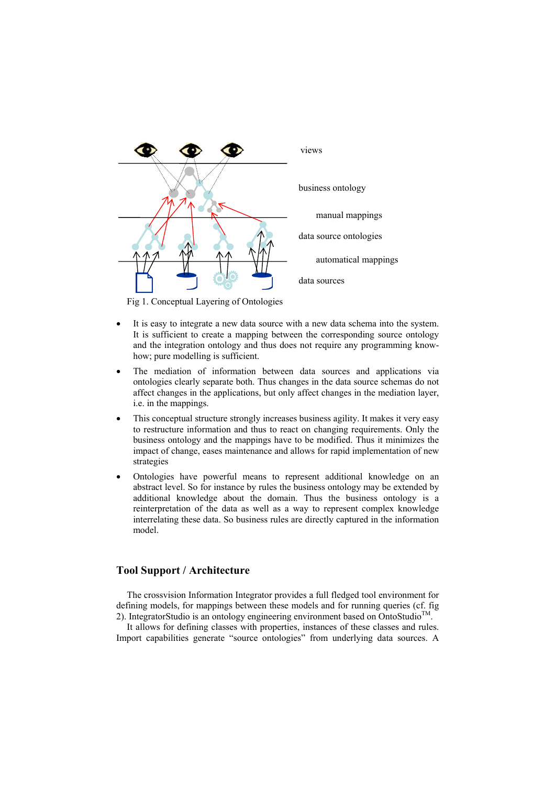

Fig 1. Conceptual Layering of Ontologies

- It is easy to integrate a new data source with a new data schema into the system. It is sufficient to create a mapping between the corresponding source ontology and the integration ontology and thus does not require any programming knowhow; pure modelling is sufficient.
- The mediation of information between data sources and applications via ontologies clearly separate both. Thus changes in the data source schemas do not affect changes in the applications, but only affect changes in the mediation layer, i.e. in the mappings.
- This conceptual structure strongly increases business agility. It makes it very easy to restructure information and thus to react on changing requirements. Only the business ontology and the mappings have to be modified. Thus it minimizes the impact of change, eases maintenance and allows for rapid implementation of new strategies
- Ontologies have powerful means to represent additional knowledge on an abstract level. So for instance by rules the business ontology may be extended by additional knowledge about the domain. Thus the business ontology is a reinterpretation of the data as well as a way to represent complex knowledge interrelating these data. So business rules are directly captured in the information model.

## **Tool Support / Architecture**

The crossvision Information Integrator provides a full fledged tool environment for defining models, for mappings between these models and for running queries (cf. fig 2). IntegratorStudio is an ontology engineering environment based on OntoStudio<sup>TM</sup>.

It allows for defining classes with properties, instances of these classes and rules. Import capabilities generate "source ontologies" from underlying data sources. A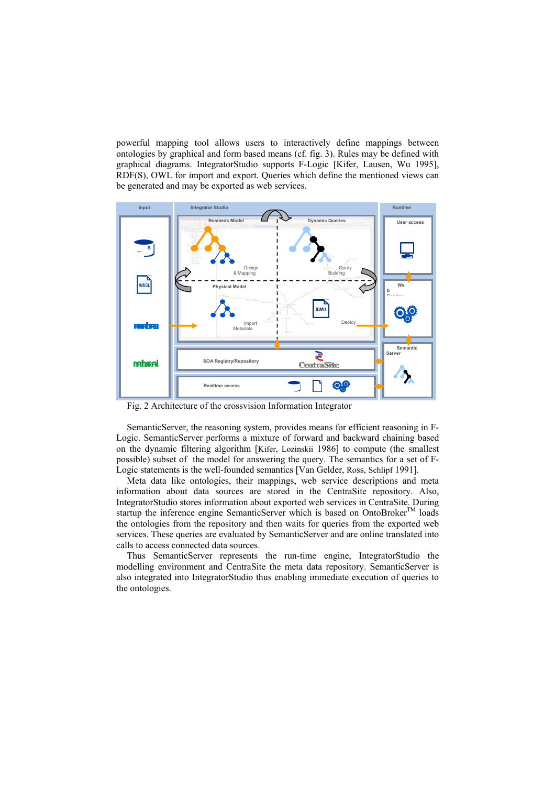powerful mapping tool allows users to interactively define mappings between ontologies by graphical and form based means (cf. fig. 3). Rules may be defined with graphical diagrams. IntegratorStudio supports F-Logic [Kifer, Lausen, Wu 1995], RDF(S), OWL for import and export. Queries which define the mentioned views can be generated and may be exported as web services.



Fig. 2 Architecture of the crossvision Information Integrator

SemanticServer, the reasoning system, provides means for efficient reasoning in F-Logic. SemanticServer performs a mixture of forward and backward chaining based on the dynamic filtering algorithm [Kifer, Lozinskii 1986] to compute (the smallest possible) subset of the model for answering the query. The semantics for a set of F-Logic statements is the well-founded semantics [Van Gelder, Ross, Schlipf 1991].

Meta data like ontologies, their mappings, web service descriptions and meta information about data sources are stored in the CentraSite repository. Also, IntegratorStudio stores information about exported web services in CentraSite. During startup the inference engine SemanticServer which is based on OntoBroker<sup>TM</sup> loads the ontologies from the repository and then waits for queries from the exported web services. These queries are evaluated by SemanticServer and are online translated into calls to access connected data sources.

Thus SemanticServer represents the run-time engine, IntegratorStudio the modelling environment and CentraSite the meta data repository. SemanticServer is also integrated into IntegratorStudio thus enabling immediate execution of queries to the ontologies.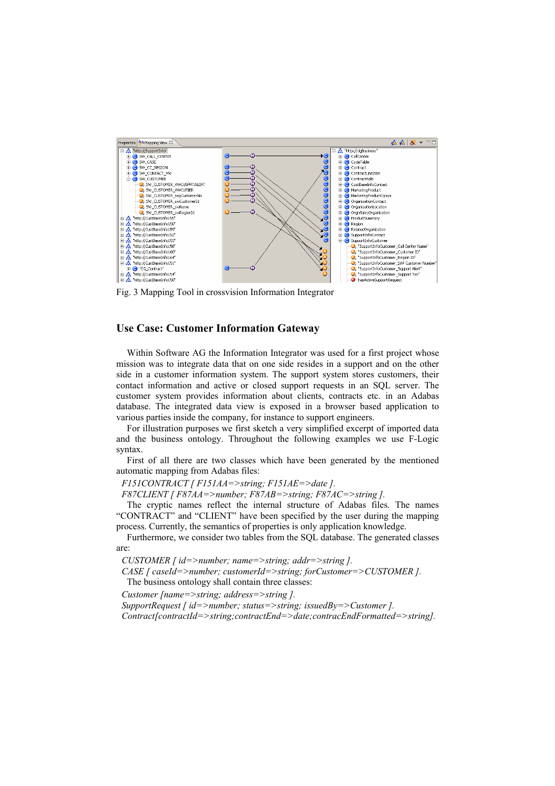

Fig. 3 Mapping Tool in crossvision Information Integrator

#### **Use Case: Customer Information Gateway**

Within Software AG the Information Integrator was used for a first project whose mission was to integrate data that on one side resides in a support and on the other side in a customer information system. The support system stores customers, their contact information and active or closed support requests in an SQL server. The customer system provides information about clients, contracts etc. in an Adabas database. The integrated data view is exposed in a browser based application to various parties inside the company, for instance to support engineers.

For illustration purposes we first sketch a very simplified excerpt of imported data and the business ontology. Throughout the following examples we use F-Logic syntax.

First of all there are two classes which have been generated by the mentioned automatic mapping from Adabas files:

*F151CONTRACT [ F151AA=>string; F151AE=>date ].* 

*F87CLIENT [ F87AA=>number; F87AB=>string; F87AC=>string ].* 

The cryptic names reflect the internal structure of Adabas files. The names "CONTRACT" and "CLIENT" have been specified by the user during the mapping process. Currently, the semantics of properties is only application knowledge.

Furthermore, we consider two tables from the SQL database. The generated classes are:

*CUSTOMER [ id=>number; name=>string; addr=>string ].* 

*CASE [ caseId=>number; customerId=>string; forCustomer=>CUSTOMER ].* 

The business ontology shall contain three classes:

*Customer [name=>string; address=>string ].* 

*SupportRequest [ id=>number; status=>string; issuedBy=>Customer ]. Contract[contractId=>string;contractEnd=>date;contracEndFormatted=>string].*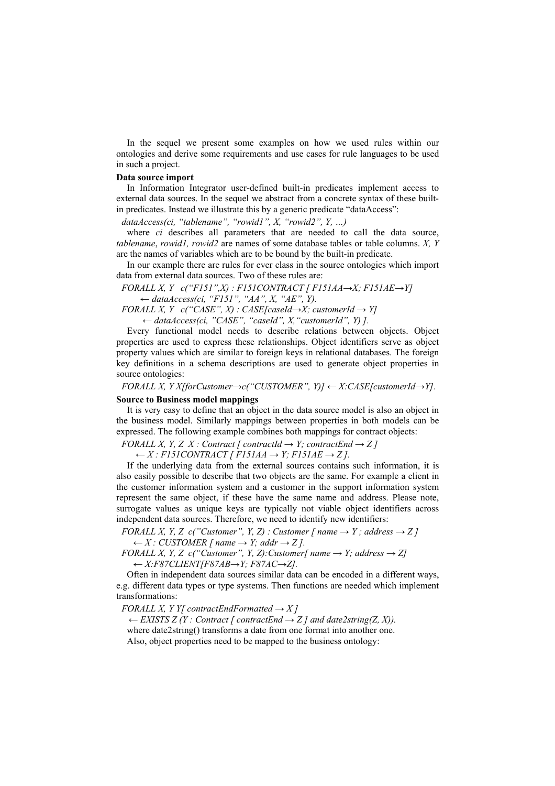In the sequel we present some examples on how we used rules within our ontologies and derive some requirements and use cases for rule languages to be used in such a project.

#### **Data source import**

In Information Integrator user-defined built-in predicates implement access to external data sources. In the sequel we abstract from a concrete syntax of these builtin predicates. Instead we illustrate this by a generic predicate "dataAccess":

*dataAccess(ci, "tablename", "rowid1", X, "rowid2", Y, …)* 

where *ci* describes all parameters that are needed to call the data source, *tablename*, *rowid1, rowid2* are names of some database tables or table columns. *X, Y* are the names of variables which are to be bound by the built-in predicate.

In our example there are rules for ever class in the source ontologies which import data from external data sources. Two of these rules are:

*FORALL X, Y c("F151",X) : F151CONTRACT [ F151AA→X; F151AE→Y] ← dataAccess(ci, "F151", "AA", X, "AE", Y).* 

*FORALL X, Y*  $c("CASE", X) : CASE[caseld \rightarrow X; customerId \rightarrow Y]$ 

 *← dataAccess(ci, "CASE", "caseId", X,"customerId", Y) ].* 

Every functional model needs to describe relations between objects. Object properties are used to express these relationships. Object identifiers serve as object property values which are similar to foreign keys in relational databases. The foreign key definitions in a schema descriptions are used to generate object properties in source ontologies:

*FORALL X, Y X[forCustomer→c("CUSTOMER", Y)] ← X:CASE[customerId→Y].*  **Source to Business model mappings** 

It is very easy to define that an object in the data source model is also an object in the business model. Similarly mappings between properties in both models can be expressed. The following example combines both mappings for contract objects:

*FORALL X, Y, Z X : Contract [ contractId*  $\rightarrow$  *Y; contractEnd*  $\rightarrow$  *Z ]* 

 *← X : F151CONTRACT [ F151AA → Y; F151AE → Z ].* 

If the underlying data from the external sources contains such information, it is also easily possible to describe that two objects are the same. For example a client in the customer information system and a customer in the support information system represent the same object, if these have the same name and address. Please note, surrogate values as unique keys are typically not viable object identifiers across independent data sources. Therefore, we need to identify new identifiers:

*FORALL X, Y, Z c("Customer", Y, Z) : Customer [ name*  $\rightarrow$  *Y ; address*  $\rightarrow$  *Z ]* 

 $\leftarrow$  *X : CUSTOMER* [ name → *Y; addr* → *Z* ].

*FORALL X, Y, Z c("Customer", Y, Z):Customer[ name*  $\rightarrow$  *Y; address*  $\rightarrow$  *Z] ← X:F87CLIENT[F87AB→Y; F87AC→Z].* 

Often in independent data sources similar data can be encoded in a different ways, e.g. different data types or type systems. Then functions are needed which implement transformations:

*FORALL X, Y Y[ contractEndFormatted*  $\rightarrow$  *X]* 

 *← EXISTS Z (Y : Contract [ contractEnd → Z ] and date2string(Z, X)).*  where date2string() transforms a date from one format into another one. Also, object properties need to be mapped to the business ontology: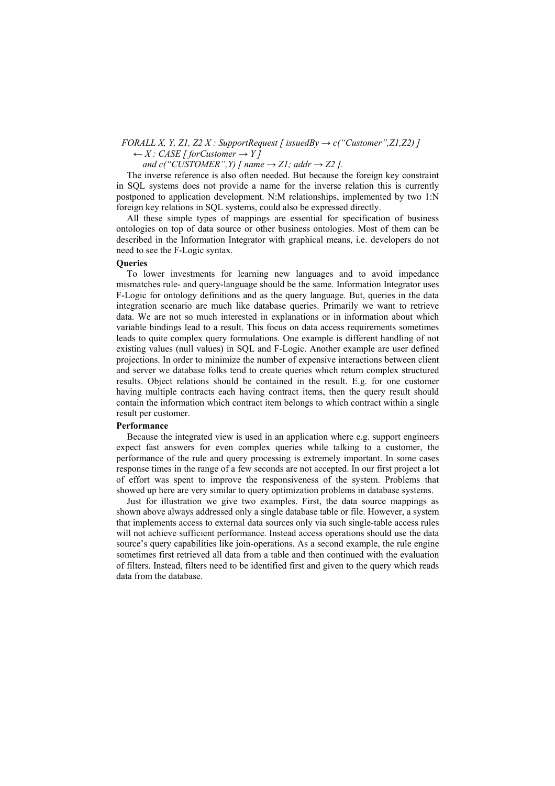*FORALL X, Y, Z1, Z2 X : SupportRequest [ issuedBy*  $\rightarrow$  *c("Customer",Z1,Z2) ]*  $\leftarrow$  *X : CASE [ forCustomer*  $\rightarrow$  *Y ]* 

*and c("CUSTOMER",Y)* [ name  $\rightarrow$  Z1; addr  $\rightarrow$  Z2].

The inverse reference is also often needed. But because the foreign key constraint in SQL systems does not provide a name for the inverse relation this is currently postponed to application development. N:M relationships, implemented by two 1:N foreign key relations in SQL systems, could also be expressed directly.

All these simple types of mappings are essential for specification of business ontologies on top of data source or other business ontologies. Most of them can be described in the Information Integrator with graphical means, i.e. developers do not need to see the F-Logic syntax.

#### **Queries**

To lower investments for learning new languages and to avoid impedance mismatches rule- and query-language should be the same. Information Integrator uses F-Logic for ontology definitions and as the query language. But, queries in the data integration scenario are much like database queries. Primarily we want to retrieve data. We are not so much interested in explanations or in information about which variable bindings lead to a result. This focus on data access requirements sometimes leads to quite complex query formulations. One example is different handling of not existing values (null values) in SQL and F-Logic. Another example are user defined projections. In order to minimize the number of expensive interactions between client and server we database folks tend to create queries which return complex structured results. Object relations should be contained in the result. E.g. for one customer having multiple contracts each having contract items, then the query result should contain the information which contract item belongs to which contract within a single result per customer.

#### **Performance**

Because the integrated view is used in an application where e.g. support engineers expect fast answers for even complex queries while talking to a customer, the performance of the rule and query processing is extremely important. In some cases response times in the range of a few seconds are not accepted. In our first project a lot of effort was spent to improve the responsiveness of the system. Problems that showed up here are very similar to query optimization problems in database systems.

Just for illustration we give two examples. First, the data source mappings as shown above always addressed only a single database table or file. However, a system that implements access to external data sources only via such single-table access rules will not achieve sufficient performance. Instead access operations should use the data source's query capabilities like join-operations. As a second example, the rule engine sometimes first retrieved all data from a table and then continued with the evaluation of filters. Instead, filters need to be identified first and given to the query which reads data from the database.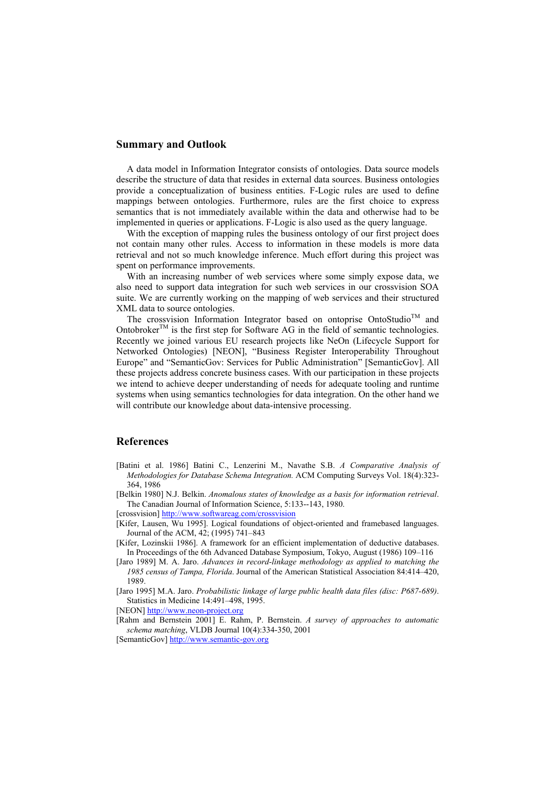#### **Summary and Outlook**

A data model in Information Integrator consists of ontologies. Data source models describe the structure of data that resides in external data sources. Business ontologies provide a conceptualization of business entities. F-Logic rules are used to define mappings between ontologies. Furthermore, rules are the first choice to express semantics that is not immediately available within the data and otherwise had to be implemented in queries or applications. F-Logic is also used as the query language.

With the exception of mapping rules the business ontology of our first project does not contain many other rules. Access to information in these models is more data retrieval and not so much knowledge inference. Much effort during this project was spent on performance improvements.

With an increasing number of web services where some simply expose data, we also need to support data integration for such web services in our crossvision SOA suite. We are currently working on the mapping of web services and their structured XML data to source ontologies.

The crossvision Information Integrator based on ontoprise OntoStudio<sup>TM</sup> and Ontobroker<sup>TM</sup> is the first step for Software AG in the field of semantic technologies. Recently we joined various EU research projects like NeOn (Lifecycle Support for Networked Ontologies) [NEON], "Business Register Interoperability Throughout Europe" and "SemanticGov: Services for Public Administration" [SemanticGov]. All these projects address concrete business cases. With our participation in these projects we intend to achieve deeper understanding of needs for adequate tooling and runtime systems when using semantics technologies for data integration. On the other hand we will contribute our knowledge about data-intensive processing.

## **References**

[Batini et al. 1986] Batini C., Lenzerini M., Navathe S.B. *A Comparative Analysis of Methodologies for Database Schema Integration.* ACM Computing Surveys Vol. 18(4):323- 364, 1986

[Belkin 1980] N.J. Belkin. *Anomalous states of knowledge as a basis for information retrieval*. The Canadian Journal of Information Science, 5:133--143, 1980.

- [crossvision] http://www.softwareag.com/crossvision
- [Kifer, Lausen, Wu 1995]. Logical foundations of object-oriented and framebased languages. Journal of the ACM, 42; (1995) 741–843
- [Kifer, Lozinskii 1986]. A framework for an efficient implementation of deductive databases. In Proceedings of the 6th Advanced Database Symposium, Tokyo, August (1986) 109–116
- [Jaro 1989] M. A. Jaro. *Advances in record-linkage methodology as applied to matching the 1985 census of Tampa, Florida*. Journal of the American Statistical Association 84:414–420, 1989.
- [Jaro 1995] M.A. Jaro. *Probabilistic linkage of large public health data files (disc: P687-689)*. Statistics in Medicine 14:491–498, 1995.
- [NEON] http://www.neon-project.org
- [Rahm and Bernstein 2001] E. Rahm, P. Bernstein. *A survey of approaches to automatic schema matching*, VLDB Journal 10(4):334-350, 2001
- [SemanticGov] http://www.semantic-gov.org